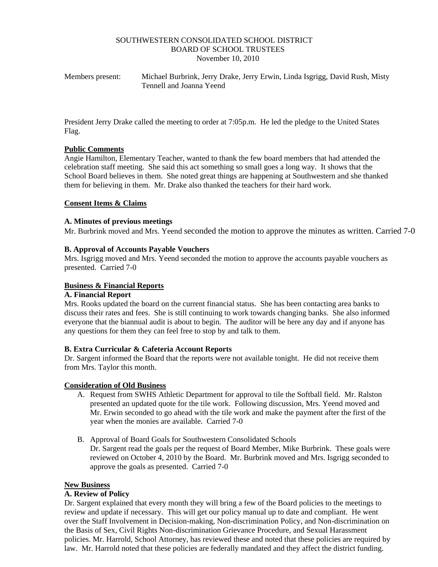#### SOUTHWESTERN CONSOLIDATED SCHOOL DISTRICT BOARD OF SCHOOL TRUSTEES November 10, 2010

Members present: Michael Burbrink, Jerry Drake, Jerry Erwin, Linda Isgrigg, David Rush, Misty Tennell and Joanna Yeend

President Jerry Drake called the meeting to order at 7:05p.m. He led the pledge to the United States Flag.

#### **Public Comments**

Angie Hamilton, Elementary Teacher, wanted to thank the few board members that had attended the celebration staff meeting. She said this act something so small goes a long way. It shows that the School Board believes in them. She noted great things are happening at Southwestern and she thanked them for believing in them. Mr. Drake also thanked the teachers for their hard work.

## **Consent Items & Claims**

#### **A. Minutes of previous meetings**

Mr. Burbrink moved and Mrs. Yeend seconded the motion to approve the minutes as written. Carried 7-0

#### **B. Approval of Accounts Payable Vouchers**

Mrs. Isgrigg moved and Mrs. Yeend seconded the motion to approve the accounts payable vouchers as presented. Carried 7-0

#### **Business & Financial Reports**

#### **A. Financial Report**

Mrs. Rooks updated the board on the current financial status. She has been contacting area banks to discuss their rates and fees. She is still continuing to work towards changing banks. She also informed everyone that the biannual audit is about to begin. The auditor will be here any day and if anyone has any questions for them they can feel free to stop by and talk to them.

## **B. Extra Curricular & Cafeteria Account Reports**

Dr. Sargent informed the Board that the reports were not available tonight. He did not receive them from Mrs. Taylor this month.

#### **Consideration of Old Business**

- A. Request from SWHS Athletic Department for approval to tile the Softball field. Mr. Ralston presented an updated quote for the tile work. Following discussion, Mrs. Yeend moved and Mr. Erwin seconded to go ahead with the tile work and make the payment after the first of the year when the monies are available. Carried 7-0
- B. Approval of Board Goals for Southwestern Consolidated Schools Dr. Sargent read the goals per the request of Board Member, Mike Burbrink. These goals were reviewed on October 4, 2010 by the Board. Mr. Burbrink moved and Mrs. Isgrigg seconded to approve the goals as presented. Carried 7-0

## **New Business**

## **A. Review of Policy**

Dr. Sargent explained that every month they will bring a few of the Board policies to the meetings to review and update if necessary. This will get our policy manual up to date and compliant. He went over the Staff Involvement in Decision-making, Non-discrimination Policy, and Non-discrimination on the Basis of Sex, Civil Rights Non-discrimination Grievance Procedure, and Sexual Harassment policies. Mr. Harrold, School Attorney, has reviewed these and noted that these policies are required by law. Mr. Harrold noted that these policies are federally mandated and they affect the district funding.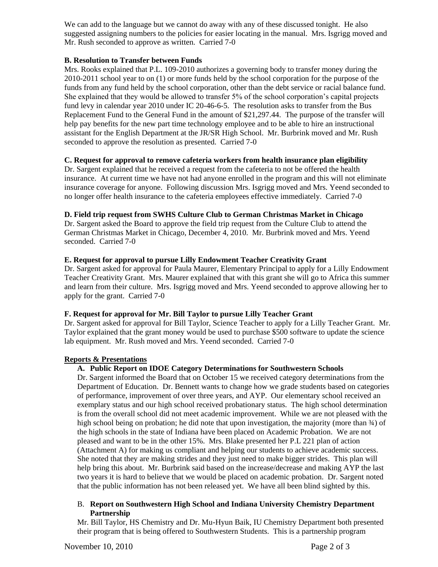We can add to the language but we cannot do away with any of these discussed tonight. He also suggested assigning numbers to the policies for easier locating in the manual. Mrs. Isgrigg moved and Mr. Rush seconded to approve as written. Carried 7-0

# **B. Resolution to Transfer between Funds**

Mrs. Rooks explained that P.L. 109-2010 authorizes a governing body to transfer money during the 2010-2011 school year to on (1) or more funds held by the school corporation for the purpose of the funds from any fund held by the school corporation, other than the debt service or racial balance fund. She explained that they would be allowed to transfer 5% of the school corporation's capital projects fund levy in calendar year 2010 under IC 20-46-6-5. The resolution asks to transfer from the Bus Replacement Fund to the General Fund in the amount of \$21,297.44. The purpose of the transfer will help pay benefits for the new part time technology employee and to be able to hire an instructional assistant for the English Department at the JR/SR High School. Mr. Burbrink moved and Mr. Rush seconded to approve the resolution as presented. Carried 7-0

# **C. Request for approval to remove cafeteria workers from health insurance plan eligibility**

Dr. Sargent explained that he received a request from the cafeteria to not be offered the health insurance. At current time we have not had anyone enrolled in the program and this will not eliminate insurance coverage for anyone. Following discussion Mrs. Isgrigg moved and Mrs. Yeend seconded to no longer offer health insurance to the cafeteria employees effective immediately. Carried 7-0

## **D. Field trip request from SWHS Culture Club to German Christmas Market in Chicago**

Dr. Sargent asked the Board to approve the field trip request from the Culture Club to attend the German Christmas Market in Chicago, December 4, 2010. Mr. Burbrink moved and Mrs. Yeend seconded. Carried 7-0

## **E. Request for approval to pursue Lilly Endowment Teacher Creativity Grant**

Dr. Sargent asked for approval for Paula Maurer, Elementary Principal to apply for a Lilly Endowment Teacher Creativity Grant. Mrs. Maurer explained that with this grant she will go to Africa this summer and learn from their culture. Mrs. Isgrigg moved and Mrs. Yeend seconded to approve allowing her to apply for the grant. Carried 7-0

## **F. Request for approval for Mr. Bill Taylor to pursue Lilly Teacher Grant**

Dr. Sargent asked for approval for Bill Taylor, Science Teacher to apply for a Lilly Teacher Grant. Mr. Taylor explained that the grant money would be used to purchase \$500 software to update the science lab equipment. Mr. Rush moved and Mrs. Yeend seconded. Carried 7-0

## **Reports & Presentations**

## **A. Public Report on IDOE Category Determinations for Southwestern Schools**

Dr. Sargent informed the Board that on October 15 we received category determinations from the Department of Education. Dr. Bennett wants to change how we grade students based on categories of performance, improvement of over three years, and AYP. Our elementary school received an exemplary status and our high school received probationary status. The high school determination is from the overall school did not meet academic improvement. While we are not pleased with the high school being on probation; he did note that upon investigation, the majority (more than  $\frac{3}{4}$ ) of the high schools in the state of Indiana have been placed on Academic Probation. We are not pleased and want to be in the other 15%. Mrs. Blake presented her P.L 221 plan of action (Attachment A) for making us compliant and helping our students to achieve academic success. She noted that they are making strides and they just need to make bigger strides. This plan will help bring this about. Mr. Burbrink said based on the increase/decrease and making AYP the last two years it is hard to believe that we would be placed on academic probation. Dr. Sargent noted that the public information has not been released yet. We have all been blind sighted by this.

## B. **Report on Southwestern High School and Indiana University Chemistry Department Partnership**

Mr. Bill Taylor, HS Chemistry and Dr. Mu-Hyun Baik, IU Chemistry Department both presented their program that is being offered to Southwestern Students. This is a partnership program